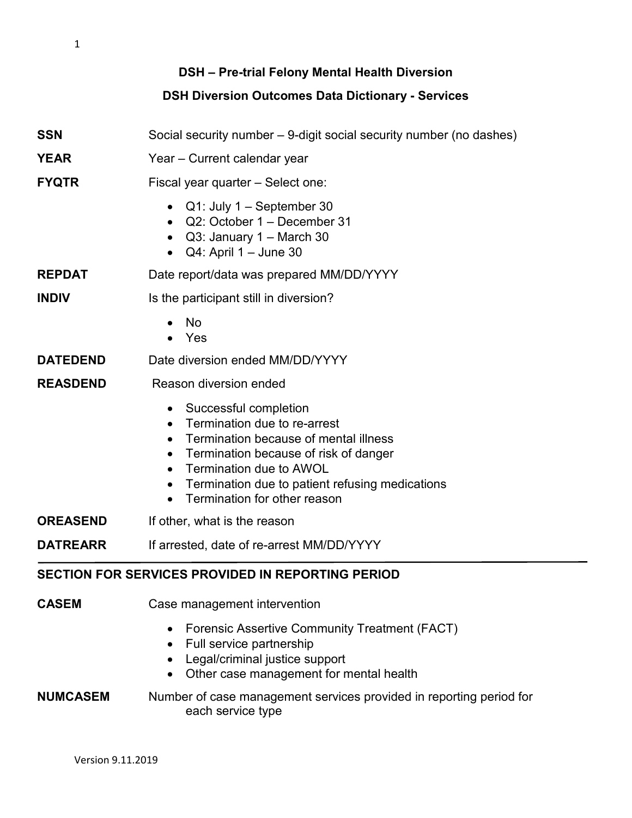1

# **DSH – Pre-trial Felony Mental Health Diversion DSH Diversion Outcomes Data Dictionary - Services**

| <b>SSN</b>                                               | Social security number – 9-digit social security number (no dashes)                                                                                                                                                                                                                                                                              |
|----------------------------------------------------------|--------------------------------------------------------------------------------------------------------------------------------------------------------------------------------------------------------------------------------------------------------------------------------------------------------------------------------------------------|
| <b>YEAR</b>                                              | Year - Current calendar year                                                                                                                                                                                                                                                                                                                     |
| <b>FYQTR</b>                                             | Fiscal year quarter - Select one:                                                                                                                                                                                                                                                                                                                |
|                                                          | Q1: July 1 - September 30<br>$\bullet$<br>Q2: October 1 - December 31<br>$\bullet$<br>Q3: January 1 - March 30<br>Q4: April 1 - June 30<br>$\bullet$                                                                                                                                                                                             |
| <b>REPDAT</b>                                            | Date report/data was prepared MM/DD/YYYY                                                                                                                                                                                                                                                                                                         |
| <b>INDIV</b>                                             | Is the participant still in diversion?                                                                                                                                                                                                                                                                                                           |
|                                                          | No<br>Yes                                                                                                                                                                                                                                                                                                                                        |
| <b>DATEDEND</b>                                          | Date diversion ended MM/DD/YYYY                                                                                                                                                                                                                                                                                                                  |
| <b>REASDEND</b>                                          | Reason diversion ended                                                                                                                                                                                                                                                                                                                           |
|                                                          | Successful completion<br>$\bullet$<br>Termination due to re-arrest<br>$\bullet$<br>Termination because of mental illness<br>$\bullet$<br>Termination because of risk of danger<br>$\bullet$<br>Termination due to AWOL<br>$\bullet$<br>Termination due to patient refusing medications<br>$\bullet$<br>Termination for other reason<br>$\bullet$ |
| <b>OREASEND</b>                                          | If other, what is the reason                                                                                                                                                                                                                                                                                                                     |
| <b>DATREARR</b>                                          | If arrested, date of re-arrest MM/DD/YYYY                                                                                                                                                                                                                                                                                                        |
| <b>SECTION FOR SERVICES PROVIDED IN REPORTING PERIOD</b> |                                                                                                                                                                                                                                                                                                                                                  |
| <b>CASEM</b>                                             | Case management intervention<br><b>Forensic Assertive Community Treatment (FACT)</b><br>Full service partnership<br>$\bullet$                                                                                                                                                                                                                    |

- Legal/criminal justice support
- Other case management for mental health

### **NUMCASEM** Number of case management services provided in reporting period for each service type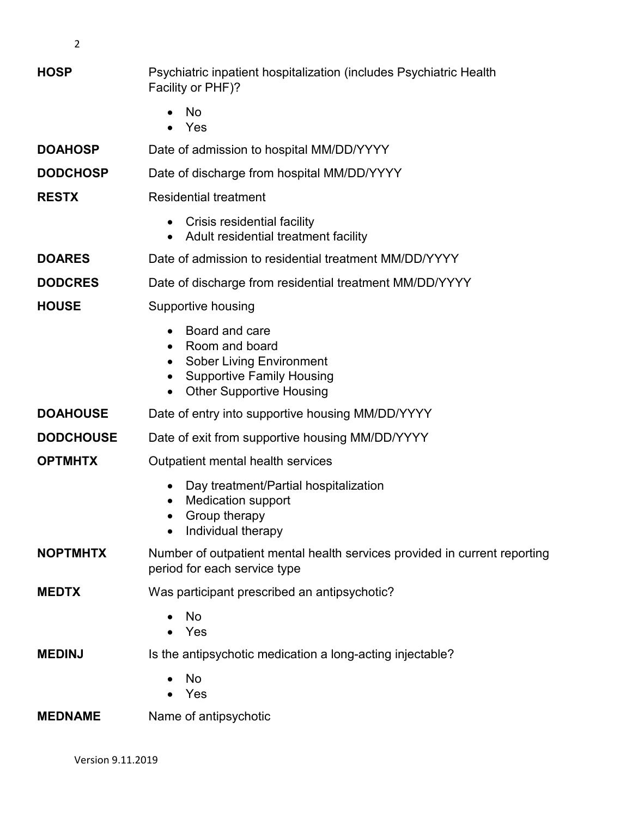2

## **HOSP** Psychiatric inpatient hospitalization (includes Psychiatric Health Facility or PHF)?

- No
- Yes

## **DOAHOSP** Date of admission to hospital MM/DD/YYYY

**DODCHOSP** Date of discharge from hospital MM/DD/YYYY

## **RESTX** Residential treatment

- Crisis residential facility
- Adult residential treatment facility

## **DOARES** Date of admission to residential treatment MM/DD/YYYY

### **DODCRES** Date of discharge from residential treatment MM/DD/YYYY

## **HOUSE** Supportive housing

- Board and care
- Room and board
- Sober Living Environment
- Supportive Family Housing
- Other Supportive Housing

# **DOAHOUSE** Date of entry into supportive housing MM/DD/YYYY

## **DODCHOUSE** Date of exit from supportive housing MM/DD/YYYY

### **OPTMHTX** Outpatient mental health services

- Day treatment/Partial hospitalization
- Medication support
- Group therapy
- Individual therapy

### **NOPTMHTX** Number of outpatient mental health services provided in current reporting period for each service type

### **MEDTX** Was participant prescribed an antipsychotic?

- No
- Yes

## **MEDINJ** Is the antipsychotic medication a long-acting injectable?

- No
- Yes

#### **MEDNAME** Name of antipsychotic